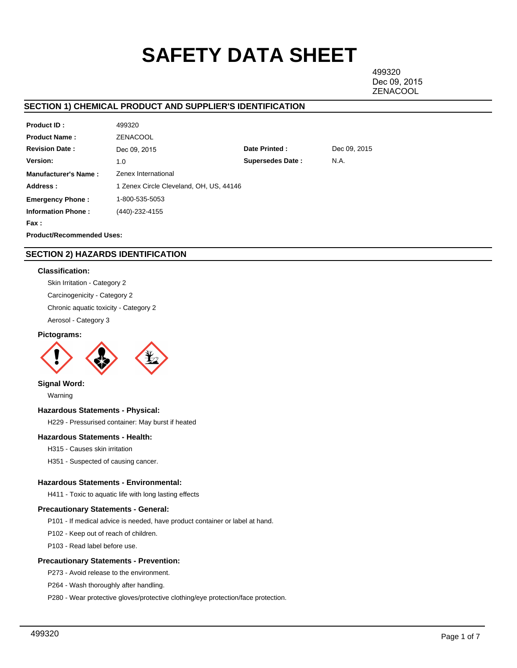# **SAFETY DATA SHEET**

499320 Dec 09, 2015 **ZENACOOL** 

# **SECTION 1) CHEMICAL PRODUCT AND SUPPLIER'S IDENTIFICATION**

| <b>Product ID:</b>               | 499320                                  |                         |              |
|----------------------------------|-----------------------------------------|-------------------------|--------------|
| <b>Product Name:</b>             | <b>ZENACOOL</b>                         |                         |              |
| <b>Revision Date:</b>            | Dec 09, 2015                            | Date Printed:           | Dec 09, 2015 |
| Version:                         | 1.0                                     | <b>Supersedes Date:</b> | N.A.         |
| <b>Manufacturer's Name:</b>      | Zenex International                     |                         |              |
| Address:                         | 1 Zenex Circle Cleveland, OH, US, 44146 |                         |              |
| <b>Emergency Phone:</b>          | 1-800-535-5053                          |                         |              |
| <b>Information Phone:</b>        | (440)-232-4155                          |                         |              |
| Fax :                            |                                         |                         |              |
| <b>Product/Recommended Uses:</b> |                                         |                         |              |

# **SECTION 2) HAZARDS IDENTIFICATION**

## **Classification:**

Skin Irritation - Category 2 Carcinogenicity - Category 2 Chronic aquatic toxicity - Category 2 Aerosol - Category 3

## **Pictograms:**



## **Signal Word:**

Warning

## **Hazardous Statements - Physical:**

H229 - Pressurised container: May burst if heated

## **Hazardous Statements - Health:**

H315 - Causes skin irritation

H351 - Suspected of causing cancer.

## **Hazardous Statements - Environmental:**

H411 - Toxic to aquatic life with long lasting effects

## **Precautionary Statements - General:**

P101 - If medical advice is needed, have product container or label at hand.

P102 - Keep out of reach of children.

P103 - Read label before use.

## **Precautionary Statements - Prevention:**

P273 - Avoid release to the environment.

P264 - Wash thoroughly after handling.

P280 - Wear protective gloves/protective clothing/eye protection/face protection.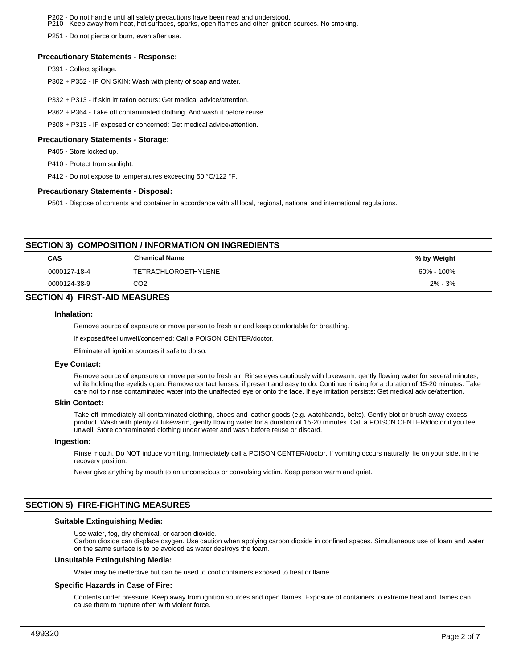P202 - Do not handle until all safety precautions have been read and understood. P210 - Keep away from heat, hot surfaces, sparks, open flames and other ignition sources. No smoking.

P251 - Do not pierce or burn, even after use.

#### **Precautionary Statements - Response:**

P391 - Collect spillage.

P302 + P352 - IF ON SKIN: Wash with plenty of soap and water.

- P332 + P313 If skin irritation occurs: Get medical advice/attention.
- P362 + P364 Take off contaminated clothing. And wash it before reuse.

P308 + P313 - IF exposed or concerned: Get medical advice/attention.

#### **Precautionary Statements - Storage:**

P405 - Store locked up.

P410 - Protect from sunlight.

P412 - Do not expose to temperatures exceeding 50 °C/122 °F.

#### **Precautionary Statements - Disposal:**

P501 - Dispose of contents and container in accordance with all local, regional, national and international regulations.

| <b>SECTION 3) COMPOSITION / INFORMATION ON INGREDIENTS</b> |                            |             |  |  |  |  |
|------------------------------------------------------------|----------------------------|-------------|--|--|--|--|
| <b>CAS</b>                                                 | <b>Chemical Name</b>       | % by Weight |  |  |  |  |
| 0000127-18-4                                               | <b>TETRACHLOROETHYLENE</b> | 60% - 100%  |  |  |  |  |
| 0000124-38-9                                               | CO <sub>2</sub>            | $2\% - 3\%$ |  |  |  |  |
| <b>SECTION 4) FIRST-AID MEASURES</b>                       |                            |             |  |  |  |  |

#### **Inhalation:**

Remove source of exposure or move person to fresh air and keep comfortable for breathing.

If exposed/feel unwell/concerned: Call a POISON CENTER/doctor.

Eliminate all ignition sources if safe to do so.

#### **Eye Contact:**

Remove source of exposure or move person to fresh air. Rinse eyes cautiously with lukewarm, gently flowing water for several minutes, while holding the eyelids open. Remove contact lenses, if present and easy to do. Continue rinsing for a duration of 15-20 minutes. Take care not to rinse contaminated water into the unaffected eye or onto the face. If eye irritation persists: Get medical advice/attention.

#### **Skin Contact:**

Take off immediately all contaminated clothing, shoes and leather goods (e.g. watchbands, belts). Gently blot or brush away excess product. Wash with plenty of lukewarm, gently flowing water for a duration of 15-20 minutes. Call a POISON CENTER/doctor if you feel unwell. Store contaminated clothing under water and wash before reuse or discard.

#### **Ingestion:**

Rinse mouth. Do NOT induce vomiting. Immediately call a POISON CENTER/doctor. If vomiting occurs naturally, lie on your side, in the recovery position.

Never give anything by mouth to an unconscious or convulsing victim. Keep person warm and quiet.

# **SECTION 5) FIRE-FIGHTING MEASURES**

#### **Suitable Extinguishing Media:**

Use water, fog, dry chemical, or carbon dioxide.

Carbon dioxide can displace oxygen. Use caution when applying carbon dioxide in confined spaces. Simultaneous use of foam and water on the same surface is to be avoided as water destroys the foam.

#### **Unsuitable Extinguishing Media:**

Water may be ineffective but can be used to cool containers exposed to heat or flame.

#### **Specific Hazards in Case of Fire:**

Contents under pressure. Keep away from ignition sources and open flames. Exposure of containers to extreme heat and flames can cause them to rupture often with violent force.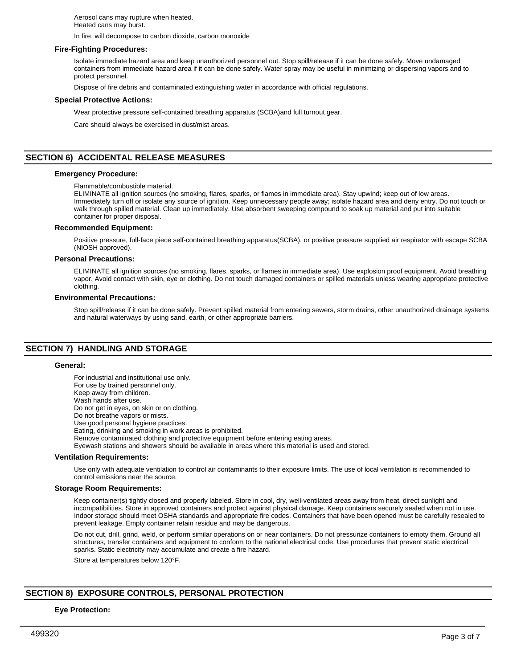Aerosol cans may rupture when heated. Heated cans may burst.

In fire, will decompose to carbon dioxide, carbon monoxide

#### **Fire-Fighting Procedures:**

Isolate immediate hazard area and keep unauthorized personnel out. Stop spill/release if it can be done safely. Move undamaged containers from immediate hazard area if it can be done safely. Water spray may be useful in minimizing or dispersing vapors and to protect personnel.

Dispose of fire debris and contaminated extinguishing water in accordance with official regulations.

#### **Special Protective Actions:**

Wear protective pressure self-contained breathing apparatus (SCBA)and full turnout gear.

Care should always be exercised in dust/mist areas.

## **SECTION 6) ACCIDENTAL RELEASE MEASURES**

#### **Emergency Procedure:**

Flammable/combustible material.

ELIMINATE all ignition sources (no smoking, flares, sparks, or flames in immediate area). Stay upwind; keep out of low areas. Immediately turn off or isolate any source of ignition. Keep unnecessary people away; isolate hazard area and deny entry. Do not touch or walk through spilled material. Clean up immediately. Use absorbent sweeping compound to soak up material and put into suitable container for proper disposal.

#### **Recommended Equipment:**

Positive pressure, full-face piece self-contained breathing apparatus(SCBA), or positive pressure supplied air respirator with escape SCBA (NIOSH approved).

#### **Personal Precautions:**

ELIMINATE all ignition sources (no smoking, flares, sparks, or flames in immediate area). Use explosion proof equipment. Avoid breathing vapor. Avoid contact with skin, eye or clothing. Do not touch damaged containers or spilled materials unless wearing appropriate protective clothing.

#### **Environmental Precautions:**

Stop spill/release if it can be done safely. Prevent spilled material from entering sewers, storm drains, other unauthorized drainage systems and natural waterways by using sand, earth, or other appropriate barriers.

# **SECTION 7) HANDLING AND STORAGE**

#### **General:**

For industrial and institutional use only. For use by trained personnel only. Keep away from children. Wash hands after use. Do not get in eyes, on skin or on clothing. Do not breathe vapors or mists. Use good personal hygiene practices. Eating, drinking and smoking in work areas is prohibited. Remove contaminated clothing and protective equipment before entering eating areas. Eyewash stations and showers should be available in areas where this material is used and stored.

#### **Ventilation Requirements:**

Use only with adequate ventilation to control air contaminants to their exposure limits. The use of local ventilation is recommended to control emissions near the source.

#### **Storage Room Requirements:**

Keep container(s) tightly closed and properly labeled. Store in cool, dry, well-ventilated areas away from heat, direct sunlight and incompatibilities. Store in approved containers and protect against physical damage. Keep containers securely sealed when not in use. Indoor storage should meet OSHA standards and appropriate fire codes. Containers that have been opened must be carefully resealed to prevent leakage. Empty container retain residue and may be dangerous.

Do not cut, drill, grind, weld, or perform similar operations on or near containers. Do not pressurize containers to empty them. Ground all structures, transfer containers and equipment to conform to the national electrical code. Use procedures that prevent static electrical sparks. Static electricity may accumulate and create a fire hazard.

Store at temperatures below 120°F.

## **SECTION 8) EXPOSURE CONTROLS, PERSONAL PROTECTION**

#### **Eye Protection:**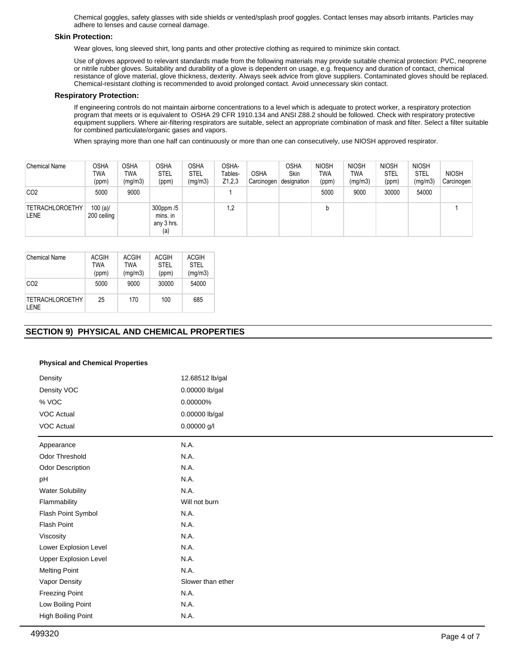Chemical goggles, safety glasses with side shields or vented/splash proof goggles. Contact lenses may absorb irritants. Particles may adhere to lenses and cause corneal damage.

### **Skin Protection:**

Wear gloves, long sleeved shirt, long pants and other protective clothing as required to minimize skin contact.

Use of gloves approved to relevant standards made from the following materials may provide suitable chemical protection: PVC, neoprene or nitrile rubber gloves. Suitability and durability of a glove is dependent on usage, e.g. frequency and duration of contact, chemical resistance of glove material, glove thickness, dexterity. Always seek advice from glove suppliers. Contaminated gloves should be replaced. Chemical-resistant clothing is recommended to avoid prolonged contact. Avoid unnecessary skin contact.

#### **Respiratory Protection:**

If engineering controls do not maintain airborne concentrations to a level which is adequate to protect worker, a respiratory protection program that meets or is equivalent to OSHA 29 CFR 1910.134 and ANSI Z88.2 should be followed. Check with respiratory protective equipment suppliers. Where air-filtering respirators are suitable, select an appropriate combination of mask and filter. Select a filter suitable for combined particulate/organic gases and vapors.

When spraying more than one half can continuously or more than one can consecutively, use NIOSH approved respirator.

| <b>Chemical Name</b>                  | OSHA<br>TWA<br>(ppm)   | <b>OSHA</b><br><b>TWA</b><br>(mg/m3) | <b>OSHA</b><br><b>STEL</b><br>(ppm)        | OSHA<br>STEL<br>(mg/m3) | OSHA-<br>Tables-<br>Z1,2,3 | <b>OSHA</b><br>Carcinogen | <b>OSHA</b><br>Skin<br>designation | <b>NIOSH</b><br>TWA<br>(ppm) | <b>NIOSH</b><br>TWA<br>(mg/m3) | <b>NIOSH</b><br><b>STEL</b><br>(ppm) | <b>NIOSH</b><br><b>STEL</b><br>(mg/m3) | <b>NIOSH</b><br>Carcinogen |
|---------------------------------------|------------------------|--------------------------------------|--------------------------------------------|-------------------------|----------------------------|---------------------------|------------------------------------|------------------------------|--------------------------------|--------------------------------------|----------------------------------------|----------------------------|
| CO <sub>2</sub>                       | 5000                   | 9000                                 |                                            |                         |                            |                           |                                    | 5000                         | 9000                           | 30000                                | 54000                                  |                            |
| <b>TETRACHLOROETHY</b><br><b>LENE</b> | 100 (a)<br>200 ceiling |                                      | 300ppm /5<br>mins. in<br>any 3 hrs.<br>(a) |                         | 1,2                        |                           |                                    | b                            |                                |                                      |                                        |                            |

| <b>Chemical Name</b>            | ACGIH<br>TWA<br>(ppm) | <b>ACGIH</b><br>TWA<br>(mg/m3) | ACGIH<br><b>STEL</b><br>(ppm) | ACGIH<br><b>STEL</b><br>(mg/m3) |
|---------------------------------|-----------------------|--------------------------------|-------------------------------|---------------------------------|
| CO <sub>2</sub>                 | 5000                  | 9000                           | 30000                         | 54000                           |
| <b>TETRACHLOROETHY</b><br>I FNF | 25                    | 170                            | 100                           | 685                             |

# **SECTION 9) PHYSICAL AND CHEMICAL PROPERTIES**

## **Physical and Chemical Properties**

| Density                      | 12.68512 lb/gal   |  |
|------------------------------|-------------------|--|
| Density VOC                  | 0.00000 lb/gal    |  |
| % VOC                        | 0.00000%          |  |
| VOC Actual                   | 0.00000 lb/gal    |  |
| <b>VOC Actual</b>            | 0.00000 g/l       |  |
| Appearance                   | N.A.              |  |
| Odor Threshold               | N.A.              |  |
| Odor Description             | N.A.              |  |
| pH                           | N.A.              |  |
| <b>Water Solubility</b>      | N.A.              |  |
| Flammability                 | Will not burn     |  |
| Flash Point Symbol           | N.A.              |  |
| Flash Point                  | N.A.              |  |
| Viscosity                    | N.A.              |  |
| Lower Explosion Level        | N.A.              |  |
| <b>Upper Explosion Level</b> | N.A.              |  |
| <b>Melting Point</b>         | N.A.              |  |
| Vapor Density                | Slower than ether |  |
| <b>Freezing Point</b>        | N.A.              |  |
| Low Boiling Point            | N.A.              |  |
| High Boiling Point           | N.A.              |  |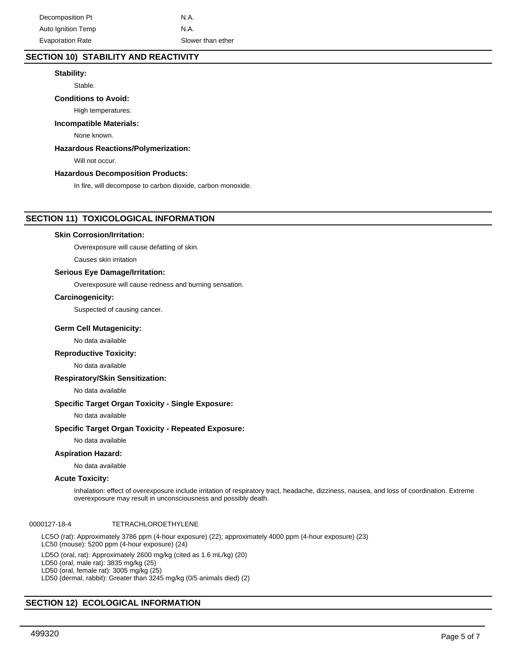# **SECTION 10) STABILITY AND REACTIVITY**

## **Stability:**

Stable.

## **Conditions to Avoid:**

High temperatures.

#### **Incompatible Materials:**

None known.

## **Hazardous Reactions/Polymerization:**

Will not occur.

#### **Hazardous Decomposition Products:**

In fire, will decompose to carbon dioxide, carbon monoxide.

## **SECTION 11) TOXICOLOGICAL INFORMATION**

#### **Skin Corrosion/Irritation:**

Overexposure will cause defatting of skin.

Causes skin irritation

## **Serious Eye Damage/Irritation:**

Overexposure will cause redness and burning sensation.

#### **Carcinogenicity:**

Suspected of causing cancer.

#### **Germ Cell Mutagenicity:**

No data available

#### **Reproductive Toxicity:**

No data available

## **Respiratory/Skin Sensitization:**

No data available

## **Specific Target Organ Toxicity - Single Exposure:**

No data available

#### **Specific Target Organ Toxicity - Repeated Exposure:**

No data available

#### **Aspiration Hazard:**

No data available

## **Acute Toxicity:**

Inhalation: effect of overexposure include irritation of respiratory tract, headache, dizziness, nausea, and loss of coordination. Extreme overexposure may result in unconsciousness and possibly death.

## 0000127-18-4 TETRACHLOROETHYLENE

LC5O (rat): Approximately 3786 ppm (4-hour exposure) (22); approximately 4000 ppm (4-hour exposure) (23) LC50 (mouse): 5200 ppm (4-hour exposure) (24)

LD5O (oral, rat): Approximately 2600 mg/kg (cited as 1.6 mL/kg) (20)

LD50 (oral, male rat): 3835 mg/kg (25)

LD50 (oral, female rat): 3005 mg/kg (25)

LD50 (dermal, rabbit): Greater than 3245 mg/kg (0/5 animals died) (2)

## **SECTION 12) ECOLOGICAL INFORMATION**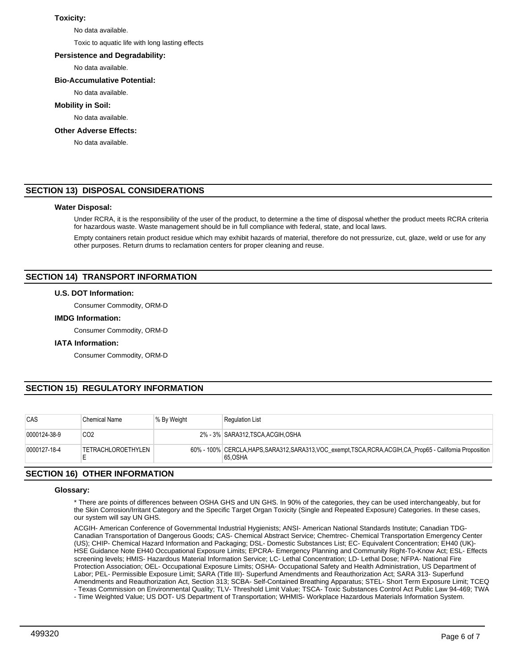## **Toxicity:**

No data available.

Toxic to aquatic life with long lasting effects

## **Persistence and Degradability:**

No data available.

# **Bio-Accumulative Potential:**

No data available.

## **Mobility in Soil:**

No data available.

## **Other Adverse Effects:**

No data available.

# **SECTION 13) DISPOSAL CONSIDERATIONS**

## **Water Disposal:**

Under RCRA, it is the responsibility of the user of the product, to determine a the time of disposal whether the product meets RCRA criteria for hazardous waste. Waste management should be in full compliance with federal, state, and local laws.

Empty containers retain product residue which may exhibit hazards of material, therefore do not pressurize, cut, glaze, weld or use for any other purposes. Return drums to reclamation centers for proper cleaning and reuse.

# **SECTION 14) TRANSPORT INFORMATION**

## **U.S. DOT Information:**

Consumer Commodity, ORM-D

#### **IMDG Information:**

Consumer Commodity, ORM-D

## **IATA Information:**

Consumer Commodity, ORM-D

# **SECTION 15) REGULATORY INFORMATION**

| CAS          | <b>Chemical Name</b>      | % By Weight | <b>Regulation List</b>                                                                                                  |
|--------------|---------------------------|-------------|-------------------------------------------------------------------------------------------------------------------------|
| 0000124-38-9 | CO <sub>2</sub>           |             | 2% - 3% SARA312, TSCA, ACGIH, OSHA                                                                                      |
| 0000127-18-4 | <b>TETRACHLOROETHYLEN</b> |             | 60% - 100% CERCLA, HAPS, SARA312, SARA313, VOC exempt, TSCA, RCRA, ACGIH, CA Prop65 - California Proposition<br>65.OSHA |

# **SECTION 16) OTHER INFORMATION**

## **Glossary:**

\* There are points of differences between OSHA GHS and UN GHS. In 90% of the categories, they can be used interchangeably, but for the Skin Corrosion/Irritant Category and the Specific Target Organ Toxicity (Single and Repeated Exposure) Categories. In these cases, our system will say UN GHS.

ACGIH- American Conference of Governmental Industrial Hygienists; ANSI- American National Standards Institute; Canadian TDG-Canadian Transportation of Dangerous Goods; CAS- Chemical Abstract Service; Chemtrec- Chemical Transportation Emergency Center (US); CHIP- Chemical Hazard Information and Packaging; DSL- Domestic Substances List; EC- Equivalent Concentration; EH40 (UK)- HSE Guidance Note EH40 Occupational Exposure Limits; EPCRA- Emergency Planning and Community Right-To-Know Act; ESL- Effects screening levels; HMIS- Hazardous Material Information Service; LC- Lethal Concentration; LD- Lethal Dose; NFPA- National Fire Protection Association; OEL- Occupational Exposure Limits; OSHA- Occupational Safety and Health Administration, US Department of Labor; PEL- Permissible Exposure Limit; SARA (Title III)- Superfund Amendments and Reauthorization Act; SARA 313- Superfund Amendments and Reauthorization Act, Section 313; SCBA- Self-Contained Breathing Apparatus; STEL- Short Term Exposure Limit; TCEQ - Texas Commission on Environmental Quality; TLV- Threshold Limit Value; TSCA- Toxic Substances Control Act Public Law 94-469; TWA

- Time Weighted Value; US DOT- US Department of Transportation; WHMIS- Workplace Hazardous Materials Information System.